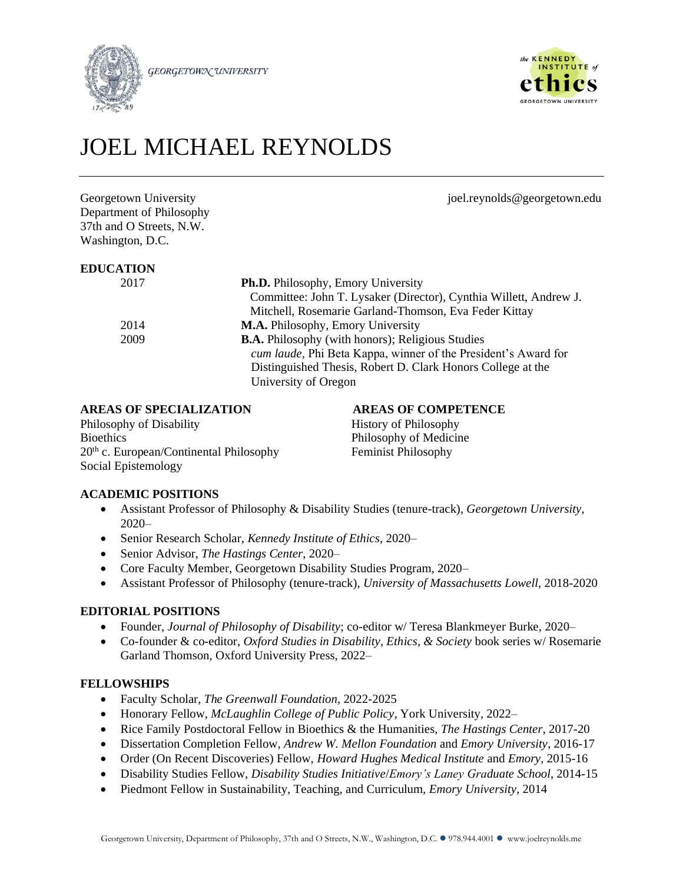

**GEORGETOWN UNIVERSITY** 



# JOEL MICHAEL REYNOLDS

Georgetown University in the same state of the settlement of the settlement of the settlement of the settlement of the settlement of the settlement of the settlement of the settlement of the settlement of the settlement of Department of Philosophy 37th and O Streets, N.W. Washington, D.C.

#### **EDUCATION**

| 21. LLV |                                                                   |
|---------|-------------------------------------------------------------------|
| 2017    | <b>Ph.D.</b> Philosophy, Emory University                         |
|         | Committee: John T. Lysaker (Director), Cynthia Willett, Andrew J. |
|         | Mitchell, Rosemarie Garland-Thomson, Eva Feder Kittay             |
| 2014    | <b>M.A.</b> Philosophy, Emory University                          |
| 2009    | <b>B.A.</b> Philosophy (with honors); Religious Studies           |
|         | cum laude, Phi Beta Kappa, winner of the President's Award for    |
|         | Distinguished Thesis, Robert D. Clark Honors College at the       |
|         | University of Oregon                                              |
|         |                                                                   |

# **AREAS OF SPECIALIZATION AREAS OF COMPETENCE**

Philosophy of Disability History of Philosophy Bioethics **Philosophy of Medicine** 20<sup>th</sup> c. European/Continental Philosophy Feminist Philosophy Social Epistemology

# **ACADEMIC POSITIONS**

- Assistant Professor of Philosophy & Disability Studies (tenure-track), *Georgetown University*, 2020–
- Senior Research Scholar, *Kennedy Institute of Ethics*, 2020–
- Senior Advisor, *The Hastings Center*, 2020–
- Core Faculty Member, Georgetown Disability Studies Program, 2020–
- Assistant Professor of Philosophy (tenure-track), *University of Massachusetts Lowell*, 2018-2020

# **EDITORIAL POSITIONS**

- Founder, *Journal of Philosophy of Disability*; co-editor w/ Teresa Blankmeyer Burke, 2020–
- Co-founder & co-editor, *Oxford Studies in Disability, Ethics, & Society* book series w/ Rosemarie Garland Thomson, Oxford University Press, 2022–

# **FELLOWSHIPS**

- Faculty Scholar, *The Greenwall Foundation*, 2022-2025
- Honorary Fellow, *McLaughlin College of Public Policy*, York University, 2022–
- Rice Family Postdoctoral Fellow in Bioethics & the Humanities, *The Hastings Center*, 2017-20
- Dissertation Completion Fellow, *Andrew W. Mellon Foundation* and *Emory University*, 2016-17
- Order (On Recent Discoveries) Fellow, *Howard Hughes Medical Institute* and *Emory*, 2015-16
- Disability Studies Fellow, *Disability Studies Initiative*/*Emory's Laney Graduate School*, 2014-15
- Piedmont Fellow in Sustainability, Teaching, and Curriculum, *Emory University*, 2014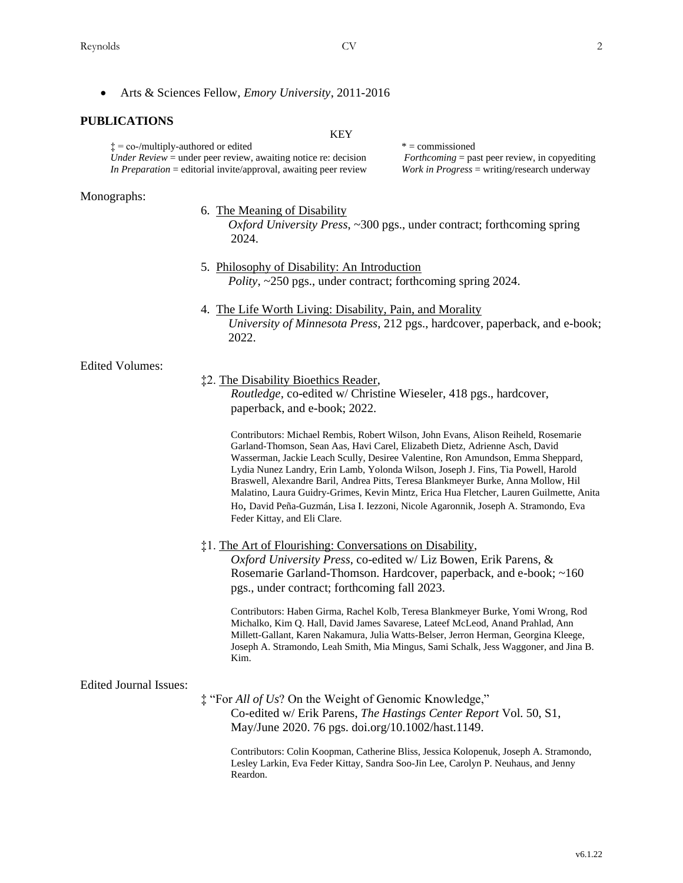• Arts & Sciences Fellow, *Emory University*, 2011-2016

#### **PUBLICATIONS**

KEY

 $\ddagger$  = co-/multiply-authored or edited  $\ddagger$  = commissioned *Under Review* = under peer review, awaiting notice re: decision *Forthcoming* = past peer review, in copyediting  *In Preparation* = editorial invite/approval, awaiting peer review *Work in Progress* = writing/research underway

#### Monographs:

#### 6. The Meaning of Disability

 *Oxford University Press*, ~300 pgs., under contract; forthcoming spring 2024.

- 5. Philosophy of Disability: An Introduction *Polity*, ~250 pgs., under contract; forthcoming spring 2024.
- 4. The Life Worth Living: Disability, Pain, and Morality *University of Minnesota Press*, 212 pgs., hardcover, paperback, and e-book; 2022.

#### Edited Volumes:

#### ‡2. The Disability Bioethics Reader,

*Routledge,* co-edited w/ Christine Wieseler, 418 pgs., hardcover, paperback, and e-book; 2022.

Contributors: Michael Rembis, Robert Wilson, John Evans, Alison Reiheld, Rosemarie Garland-Thomson, Sean Aas, Havi Carel, Elizabeth Dietz, Adrienne Asch, David Wasserman, Jackie Leach Scully, Desiree Valentine, Ron Amundson, Emma Sheppard, Lydia Nunez Landry, Erin Lamb, Yolonda Wilson, Joseph J. Fins, Tia Powell, Harold Braswell, Alexandre Baril, Andrea Pitts, Teresa Blankmeyer Burke, Anna Mollow, Hil Malatino, Laura Guidry-Grimes, Kevin Mintz, Erica Hua Fletcher, Lauren Guilmette, Anita Ho, David Peña-Guzmán, Lisa I. Iezzoni, Nicole Agaronnik, Joseph A. Stramondo, Eva Feder Kittay, and Eli Clare.

#### ‡1. The Art of Flourishing: Conversations on Disability,

*Oxford University Press*, co-edited w/ Liz Bowen, Erik Parens, & Rosemarie Garland-Thomson. Hardcover, paperback, and e-book; ~160 pgs., under contract; forthcoming fall 2023.

Contributors: Haben Girma, Rachel Kolb, Teresa Blankmeyer Burke, Yomi Wrong, Rod Michalko, Kim Q. Hall, David James Savarese, Lateef McLeod, Anand Prahlad, Ann Millett-Gallant, Karen Nakamura, Julia Watts-Belser, Jerron Herman, Georgina Kleege, Joseph A. Stramondo, Leah Smith, Mia Mingus, Sami Schalk, Jess Waggoner, and Jina B. Kim.

#### Edited Journal Issues:

‡ "For *All of Us*? On the Weight of Genomic Knowledge," Co-edited w/ Erik Parens, *The Hastings Center Report* Vol. 50, S1, May/June 2020. 76 pgs. doi.org/10.1002/hast.1149.

Contributors: Colin Koopman, Catherine Bliss, Jessica Kolopenuk, Joseph A. Stramondo, Lesley Larkin, Eva Feder Kittay, Sandra Soo-Jin Lee, Carolyn P. Neuhaus, and Jenny Reardon.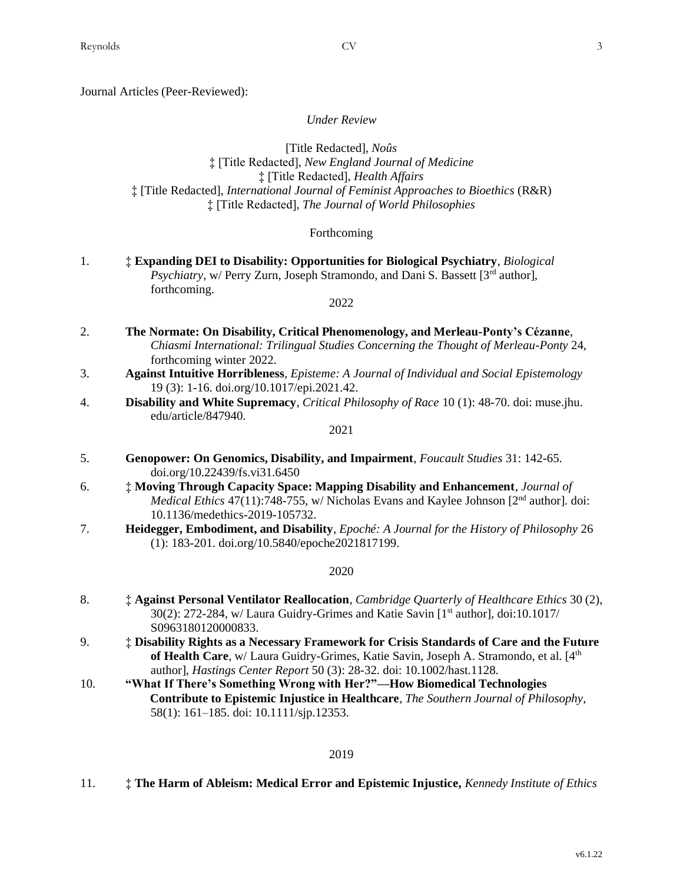Journal Articles (Peer-Reviewed):

*Under Review*

[Title Redacted], *Noûs* ‡ [Title Redacted], *New England Journal of Medicine* ‡ [Title Redacted], *Health Affairs* ‡ [Title Redacted], *International Journal of Feminist Approaches to Bioethics* (R&R) ‡ [Title Redacted], *The Journal of World Philosophies*

#### Forthcoming

1. ‡ **Expanding DEI to Disability: Opportunities for Biological Psychiatry**, *Biological* Psychiatry, w/ Perry Zurn, Joseph Stramondo, and Dani S. Bassett [3<sup>rd</sup> author], forthcoming.

#### 2022

- 2. **The Normate: On Disability, Critical Phenomenology, and Merleau-Ponty's Cézanne**, *Chiasmi International: Trilingual Studies Concerning the Thought of Merleau-Ponty* 24, forthcoming winter 2022.
- 3. **Against Intuitive Horribleness***, Episteme: A Journal of Individual and Social Epistemology* 19 (3): 1-16. doi.org/10.1017/epi.2021.42.
- 4. **Disability and White Supremacy**, *Critical Philosophy of Race* 10 (1): 48-70. doi: muse.jhu. edu/article/847940.

2021

- 5. **Genopower: On Genomics, Disability, and Impairment**, *Foucault Studies* 31: 142-65. doi.org/10.22439/fs.vi31.6450
- 6. ‡ **Moving Through Capacity Space: Mapping Disability and Enhancement**, *Journal of Medical Ethics* 47(11):748-755, w/ Nicholas Evans and Kaylee Johnson [2<sup>nd</sup> author]. doi: 10.1136/medethics-2019-105732.
- 7. **Heidegger, Embodiment, and Disability**, *Epoché: A Journal for the History of Philosophy* 26 (1): 183-201. doi.org/10.5840/epoche2021817199.

#### 2020

- 8. ‡ **Against Personal Ventilator Reallocation**, *Cambridge Quarterly of Healthcare Ethics* 30 (2), 30(2): 272-284, w/ Laura Guidry-Grimes and Katie Savin [1<sup>st</sup> author], doi:10.1017/ S0963180120000833.
- 9. ‡ **Disability Rights as a Necessary Framework for Crisis Standards of Care and the Future**  of Health Care, w/ Laura Guidry-Grimes, Katie Savin, Joseph A. Stramondo, et al. [4<sup>th</sup> author], *Hastings Center Report* 50 (3): 28-32. doi: 10.1002/hast.1128.
- 10. **"What If There's Something Wrong with Her?"—How Biomedical Technologies Contribute to Epistemic Injustice in Healthcare**, *The Southern Journal of Philosophy*, 58(1): 161–185. doi: 10.1111/sjp.12353.

## 2019

11. ‡ **The Harm of Ableism: Medical Error and Epistemic Injustice,** *Kennedy Institute of Ethics*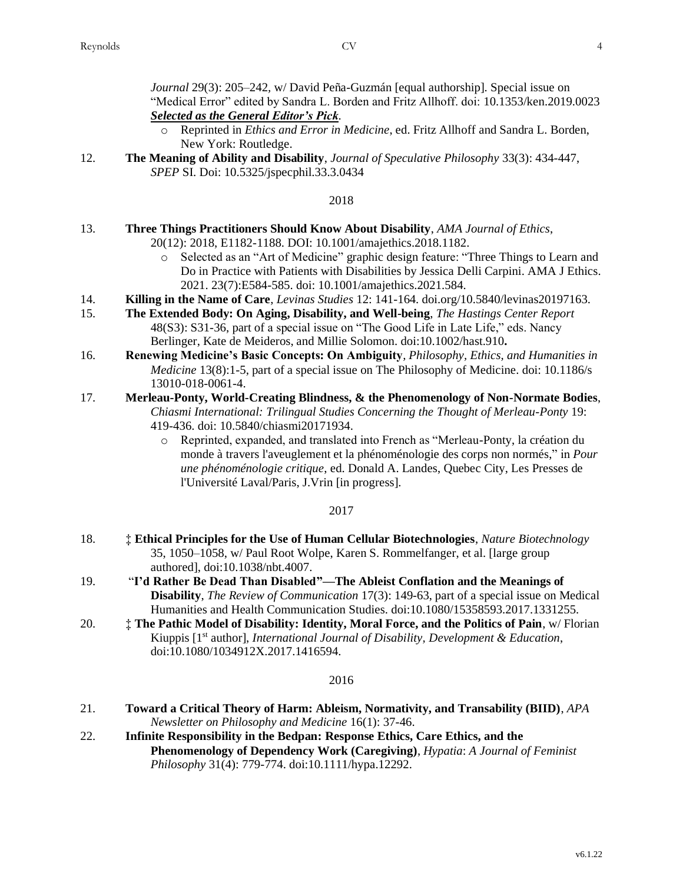*Journal* 29(3): 205–242*,* w/ David Peña-Guzmán [equal authorship]. Special issue on "Medical Error" edited by Sandra L. Borden and Fritz Allhoff. doi: 10.1353/ken.2019.0023 *Selected as the General Editor's Pick.*

- o Reprinted in *Ethics and Error in Medicine*, ed. Fritz Allhoff and Sandra L. Borden, New York: Routledge.
- 12. **The Meaning of Ability and Disability**, *Journal of Speculative Philosophy* 33(3): 434-447, *SPEP* SI. Doi: 10.5325/jspecphil.33.3.0434

#### 2018

- 13. **Three Things Practitioners Should Know About Disability**, *AMA Journal of Ethics*, 20(12): 2018, E1182-1188. DOI: 10.1001/amajethics.2018.1182.
	- o Selected as an "Art of Medicine" graphic design feature: "Three Things to Learn and Do in Practice with Patients with Disabilities by Jessica Delli Carpini. AMA J Ethics. 2021. 23(7):E584-585. doi: 10.1001/amajethics.2021.584.
- 14. **Killing in the Name of Care**, *Levinas Studies* 12: 141-164. doi.org/10.5840/levinas20197163.
- 15. **The Extended Body: On Aging, Disability, and Well-being**, *The Hastings Center Report* 48(S3): S31-36, part of a special issue on "The Good Life in Late Life," eds. Nancy Berlinger, Kate de Meideros, and Millie Solomon. doi:10.1002/hast.910**.**
- 16. **Renewing Medicine's Basic Concepts: On Ambiguity***, Philosophy, Ethics, and Humanities in Medicine* 13(8):1-5, part of a special issue on The Philosophy of Medicine. doi: 10.1186/s 13010-018-0061-4.
- 17. **Merleau-Ponty, World-Creating Blindness, & the Phenomenology of Non-Normate Bodies**, *Chiasmi International: Trilingual Studies Concerning the Thought of Merleau-Ponty* 19: 419-436. doi: 10.5840/chiasmi20171934.
	- o Reprinted, expanded, and translated into French as "Merleau-Ponty, la création du monde à travers l'aveuglement et la phénoménologie des corps non normés," in *Pour une phénoménologie critique*, ed. Donald A. Landes, Quebec City, Les Presses de l'Université Laval/Paris, J.Vrin [in progress].

# 2017

- 18. ‡ **Ethical Principles for the Use of Human Cellular Biotechnologies**, *Nature Biotechnology*  35, 1050–1058, w/ Paul Root Wolpe, Karen S. Rommelfanger, et al. [large group authored], doi:10.1038/nbt.4007.
- 19. "**I'd Rather Be Dead Than Disabled"—The Ableist Conflation and the Meanings of Disability**, *The Review of Communication* 17(3): 149-63, part of a special issue on Medical Humanities and Health Communication Studies. doi:10.1080/15358593.2017.1331255.
- 20. ‡ **The Pathic Model of Disability: Identity, Moral Force, and the Politics of Pain**, w/ Florian Kiuppis [1<sup>st</sup> author], *International Journal of Disability*, *Development & Education*, doi:10.1080/1034912X.2017.1416594.

#### 2016

- 21. **Toward a Critical Theory of Harm: Ableism, Normativity, and Transability (BIID)**, *APA Newsletter on Philosophy and Medicine* 16(1): 37-46.
- 22. **Infinite Responsibility in the Bedpan: Response Ethics, Care Ethics, and the Phenomenology of Dependency Work (Caregiving)**, *Hypatia*: *A Journal of Feminist Philosophy* 31(4): 779-774. doi:10.1111/hypa.12292.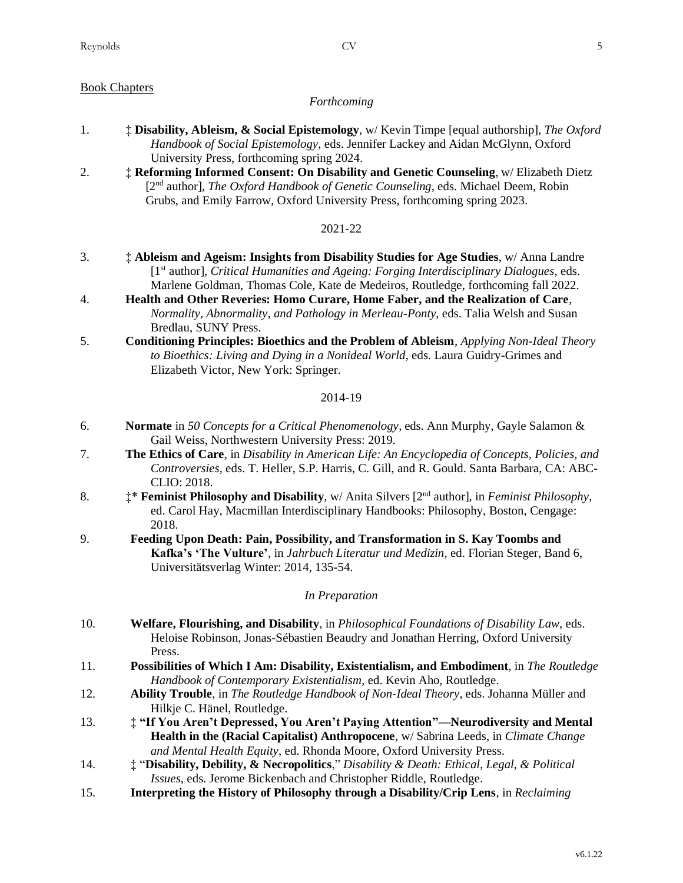# Book Chapters

### *Forthcoming*

- 1. ‡ **Disability, Ableism, & Social Epistemology**, w/ Kevin Timpe [equal authorship], *The Oxford Handbook of Social Epistemology*, eds. Jennifer Lackey and Aidan McGlynn, Oxford University Press, forthcoming spring 2024.
- 2. ‡ **Reforming Informed Consent: On Disability and Genetic Counseling**, w/ Elizabeth Dietz [2nd author], *The Oxford Handbook of Genetic Counseling*, eds. Michael Deem, Robin Grubs, and Emily Farrow, Oxford University Press, forthcoming spring 2023.

# 2021-22

- 3. ‡ **Ableism and Ageism: Insights from Disability Studies for Age Studies**, w/ Anna Landre [1st author], *Critical Humanities and Ageing: Forging Interdisciplinary Dialogues*, eds. Marlene Goldman, Thomas Cole, Kate de Medeiros, Routledge, forthcoming fall 2022.
- 4. **Health and Other Reveries: Homo Curare, Home Faber, and the Realization of Care**, *Normality, Abnormality, and Pathology in Merleau-Ponty*, eds. Talia Welsh and Susan Bredlau, SUNY Press.
- 5. **Conditioning Principles: Bioethics and the Problem of Ableism**, *Applying Non-Ideal Theory to Bioethics: Living and Dying in a Nonideal World*, eds. Laura Guidry-Grimes and Elizabeth Victor, New York: Springer.

#### 2014-19

- 6. **Normate** in *50 Concepts for a Critical Phenomenology*, eds. Ann Murphy, Gayle Salamon & Gail Weiss, Northwestern University Press: 2019.
- 7. **The Ethics of Care**, in *Disability in American Life: An Encyclopedia of Concepts, Policies, and Controversies,* eds. T. Heller, S.P. Harris, C. Gill, and R. Gould. Santa Barbara, CA: ABC-CLIO: 2018.
- 8. ‡\* **Feminist Philosophy and Disability**, w/ Anita Silvers [2nd author], in *Feminist Philosophy*, ed. Carol Hay, Macmillan Interdisciplinary Handbooks: Philosophy, Boston, Cengage: 2018.
- 9. **Feeding Upon Death: Pain, Possibility, and Transformation in S. Kay Toombs and Kafka's 'The Vulture'**, in *Jahrbuch Literatur und Medizin*, ed. Florian Steger, Band 6, Universitätsverlag Winter: 2014, 135-54.

#### *In Preparation*

- 10. **Welfare, Flourishing, and Disability**, in *Philosophical Foundations of Disability Law*, eds. Heloise Robinson, Jonas-Sébastien Beaudry and Jonathan Herring, Oxford University Press.
- 11. **Possibilities of Which I Am: Disability, Existentialism, and Embodiment**, in *The Routledge Handbook of Contemporary Existentialism*, ed. Kevin Aho, Routledge.
- 12. **Ability Trouble**, in *The Routledge Handbook of Non-Ideal Theory*, eds. Johanna Müller and Hilkje C. Hänel, Routledge.
- 13. ‡ **"If You Aren't Depressed, You Aren't Paying Attention"—Neurodiversity and Mental Health in the (Racial Capitalist) Anthropocene**, w/ Sabrina Leeds, in *Climate Change and Mental Health Equity*, ed. Rhonda Moore, Oxford University Press.
- 14. ‡ "**Disability, Debility, & Necropolitics**," *Disability & Death: Ethical, Legal, & Political Issues*, eds. Jerome Bickenbach and Christopher Riddle, Routledge.
- 15. **Interpreting the History of Philosophy through a Disability/Crip Lens**, in *Reclaiming*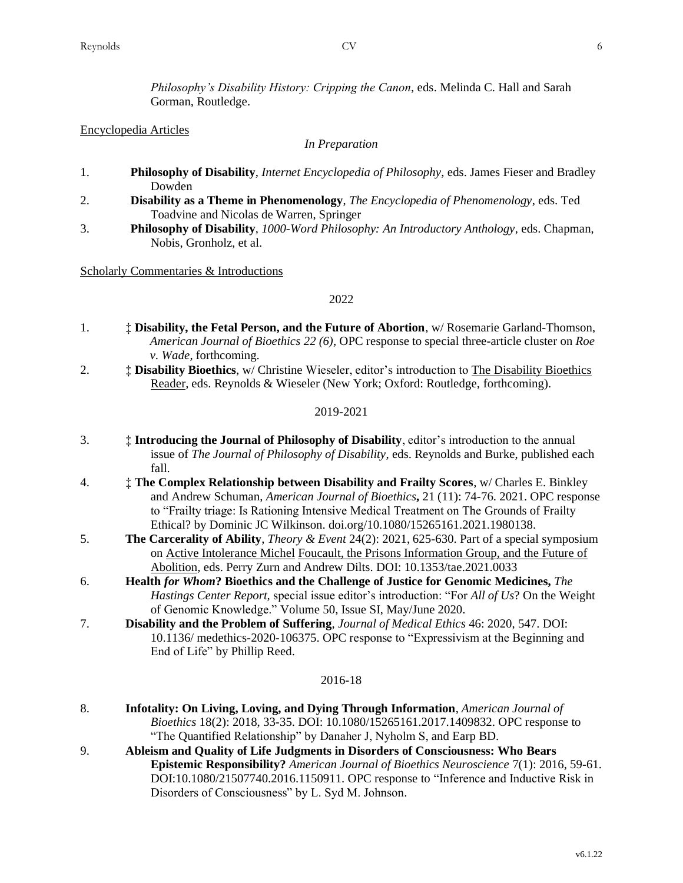*Philosophy's Disability History: Cripping the Canon*, eds. Melinda C. Hall and Sarah Gorman, Routledge.

#### Encyclopedia Articles

#### *In Preparation*

- 1. **Philosophy of Disability**, *Internet Encyclopedia of Philosophy*, eds. James Fieser and Bradley Dowden
- 2. **Disability as a Theme in Phenomenology**, *The Encyclopedia of Phenomenology*, eds. Ted Toadvine and Nicolas de Warren, Springer
- 3. **Philosophy of Disability**, *1000-Word Philosophy: An Introductory Anthology*, eds. Chapman, Nobis, Gronholz, et al.

#### Scholarly Commentaries & Introductions

#### 2022

- 1. ‡ **Disability, the Fetal Person, and the Future of Abortion**, w/ Rosemarie Garland-Thomson, *American Journal of Bioethics 22 (6)*, OPC response to special three-article cluster on *Roe v. Wade*, forthcoming.
- 2. ‡ **Disability Bioethics**, w/ Christine Wieseler, editor's introduction to The Disability Bioethics Reader, eds. Reynolds & Wieseler (New York; Oxford: Routledge, forthcoming).

#### 2019-2021

- 3. ‡ **Introducing the Journal of Philosophy of Disability**, editor's introduction to the annual issue of *The Journal of Philosophy of Disability*, eds. Reynolds and Burke, published each fall.
- 4. ‡ **The Complex Relationship between Disability and Frailty Scores**, w/ Charles E. Binkley and Andrew Schuman, *American Journal of Bioethics***,** 21 (11): 74-76. 2021. OPC response to "Frailty triage: Is Rationing Intensive Medical Treatment on The Grounds of Frailty Ethical? by Dominic JC Wilkinson. doi.org/10.1080/15265161.2021.1980138.
- 5. **The Carcerality of Ability**, *Theory & Event* 24(2): 2021, 625-630. Part of a special symposium on Active Intolerance Michel Foucault, the Prisons Information Group, and the Future of Abolition, eds. Perry Zurn and Andrew Dilts. DOI: 10.1353/tae.2021.0033
- 6. **Health** *for Whom***? Bioethics and the Challenge of Justice for Genomic Medicines,** *The Hastings Center Report,* special issue editor's introduction: "For *All of Us*? On the Weight of Genomic Knowledge." Volume 50, Issue SI, May/June 2020.
- 7. **Disability and the Problem of Suffering**, *Journal of Medical Ethics* 46: 2020, 547. DOI: 10.1136/ medethics-2020-106375. OPC response to "Expressivism at the Beginning and End of Life" by Phillip Reed.

#### 2016-18

- 8. **Infotality: On Living, Loving, and Dying Through Information**, *American Journal of Bioethics* 18(2): 2018, 33-35. DOI: 10.1080/15265161.2017.1409832. OPC response to "The Quantified Relationship" by Danaher J, Nyholm S, and Earp BD.
- 9. **Ableism and Quality of Life Judgments in Disorders of Consciousness: Who Bears Epistemic Responsibility?** *American Journal of Bioethics Neuroscience* 7(1): 2016, 59-61. DOI:10.1080/21507740.2016.1150911. OPC response to "Inference and Inductive Risk in Disorders of Consciousness" by L. Syd M. Johnson.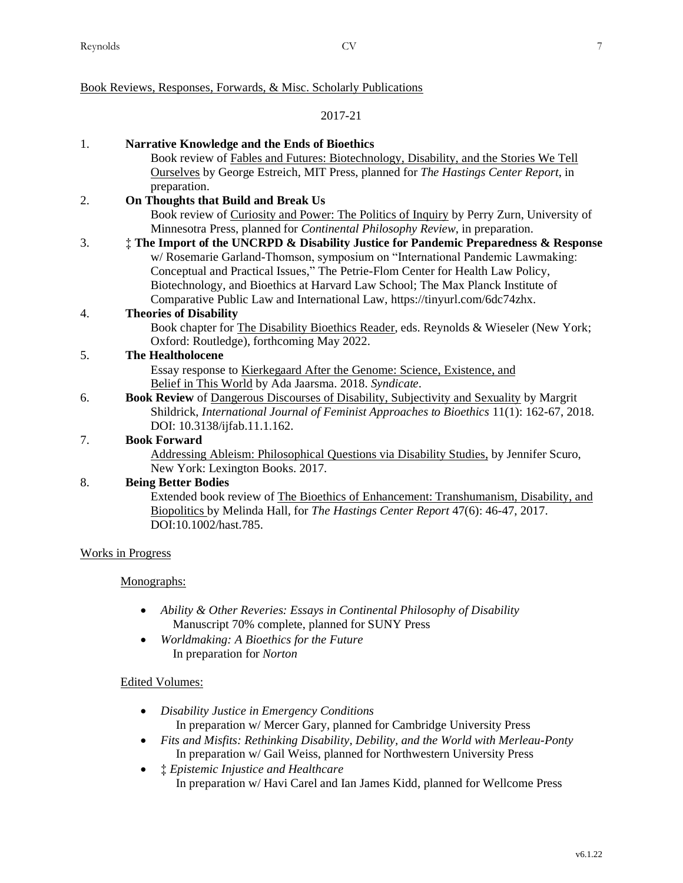# Book Reviews, Responses, Forwards, & Misc. Scholarly Publications

# 2017-21

| 1. | <b>Narrative Knowledge and the Ends of Bioethics</b>                                            |
|----|-------------------------------------------------------------------------------------------------|
|    | Book review of Fables and Futures: Biotechnology, Disability, and the Stories We Tell           |
|    | Ourselves by George Estreich, MIT Press, planned for The Hastings Center Report, in             |
|    |                                                                                                 |
|    | preparation.                                                                                    |
| 2. | On Thoughts that Build and Break Us                                                             |
|    | Book review of Curiosity and Power: The Politics of Inquiry by Perry Zurn, University of        |
|    | Minnesotra Press, planned for <i>Continental Philosophy Review</i> , in preparation.            |
| 3. | # The Import of the UNCRPD & Disability Justice for Pandemic Preparedness & Response            |
|    | w/ Rosemarie Garland-Thomson, symposium on "International Pandemic Lawmaking:                   |
|    | Conceptual and Practical Issues," The Petrie-Flom Center for Health Law Policy,                 |
|    | Biotechnology, and Bioethics at Harvard Law School; The Max Planck Institute of                 |
|    | Comparative Public Law and International Law, https://tinyurl.com/6dc74zhx.                     |
| 4. | <b>Theories of Disability</b>                                                                   |
|    | Book chapter for The Disability Bioethics Reader, eds. Reynolds & Wieseler (New York;           |
|    | Oxford: Routledge), forthcoming May 2022.                                                       |
| 5. | <b>The Healtholocene</b>                                                                        |
|    | Essay response to Kierkegaard After the Genome: Science, Existence, and                         |
|    | Belief in This World by Ada Jaarsma. 2018. Syndicate.                                           |
| 6. | <b>Book Review of Dangerous Discourses of Disability, Subjectivity and Sexuality by Margrit</b> |
|    | Shildrick, International Journal of Feminist Approaches to Bioethics 11(1): 162-67, 2018.       |
|    | DOI: 10.3138/ijfab.11.1.162.                                                                    |
| 7. | <b>Book Forward</b>                                                                             |
|    | Addressing Ableism: Philosophical Questions via Disability Studies, by Jennifer Scuro,          |
|    | New York: Lexington Books. 2017.                                                                |
| 8. | <b>Being Better Bodies</b>                                                                      |
|    | Extended book review of The Bioethics of Enhancement: Transhumanism, Disability, and            |
|    | Biopolitics by Melinda Hall, for The Hastings Center Report 47(6): 46-47, 2017.                 |
|    | DOI:10.1002/hast.785.                                                                           |
|    |                                                                                                 |
|    | <b>Works in Progress</b>                                                                        |
|    | Monographs:                                                                                     |

- *Ability & Other Reveries: Essays in Continental Philosophy of Disability* Manuscript 70% complete, planned for SUNY Press
- *Worldmaking: A Bioethics for the Future* In preparation for *Norton*

# Edited Volumes:

- *Disability Justice in Emergency Conditions* In preparation w/ Mercer Gary, planned for Cambridge University Press
- *Fits and Misfits: Rethinking Disability, Debility, and the World with Merleau-Ponty* In preparation w/ Gail Weiss, planned for Northwestern University Press
- ‡ *Epistemic Injustice and Healthcare* In preparation w/ Havi Carel and Ian James Kidd, planned for Wellcome Press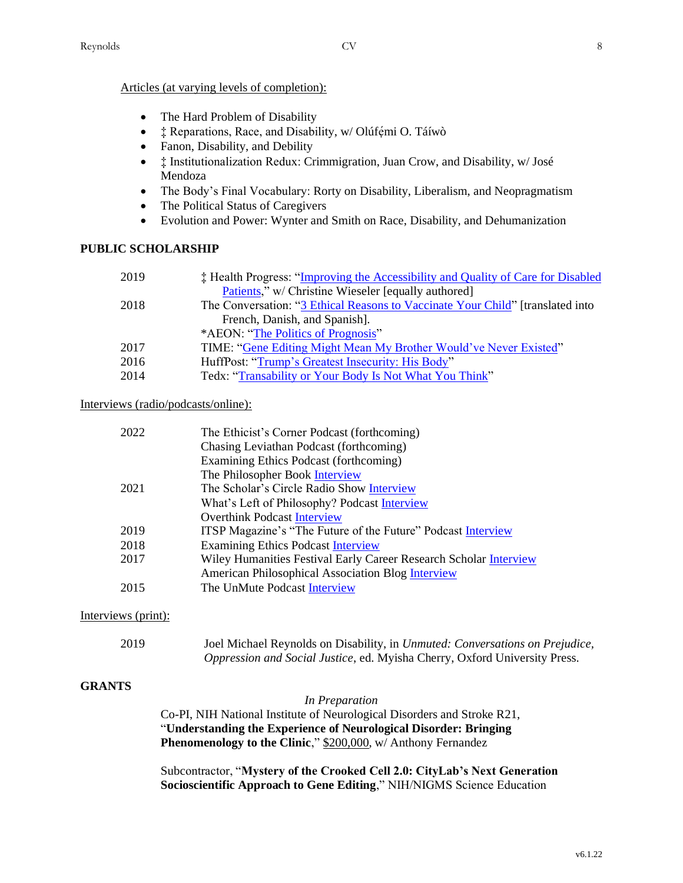### Articles (at varying levels of completion):

- The Hard Problem of Disability
- $\ddagger$  Reparations, Race, and Disability, w/Olúfemi O. Táíwò
- Fanon, Disability, and Debility
- $\dot{\mathbf{r}}$  Institutionalization Redux: Crimmigration, Juan Crow, and Disability, w/José Mendoza
- The Body's Final Vocabulary: Rorty on Disability, Liberalism, and Neopragmatism
- The Political Status of Caregivers
- Evolution and Power: Wynter and Smith on Race, Disability, and Dehumanization

# **PUBLIC SCHOLARSHIP**

| 2019 | <b>‡ Health Progress: "Improving the Accessibility and Quality of Care for Disabled</b> |
|------|-----------------------------------------------------------------------------------------|
|      | Patients," w/ Christine Wieseler [equally authored]                                     |
| 2018 | The Conversation: "3 Ethical Reasons to Vaccinate Your Child" [translated into          |
|      | French, Danish, and Spanish.                                                            |
|      | *AEON: "The Politics of Prognosis"                                                      |
| 2017 | TIME: "Gene Editing Might Mean My Brother Would've Never Existed"                       |
| 2016 | HuffPost: "Trump's Greatest Insecurity: His Body"                                       |
| 2014 | Tedx: "Transability or Your Body Is Not What You Think"                                 |

# Interviews (radio/podcasts/online):

| 2022 | The Ethicist's Corner Podcast (forthcoming)                       |
|------|-------------------------------------------------------------------|
|      | Chasing Leviathan Podcast (forthcoming)                           |
|      | Examining Ethics Podcast (forthcoming)                            |
|      | The Philosopher Book Interview                                    |
| 2021 | The Scholar's Circle Radio Show Interview                         |
|      | What's Left of Philosophy? Podcast Interview                      |
|      | <b>Overthink Podcast Interview</b>                                |
| 2019 | ITSP Magazine's "The Future of the Future" Podcast Interview      |
| 2018 | <b>Examining Ethics Podcast Interview</b>                         |
| 2017 | Wiley Humanities Festival Early Career Research Scholar Interview |
|      | <b>American Philosophical Association Blog Interview</b>          |
| 2015 | The UnMute Podcast Interview                                      |
|      |                                                                   |

#### Interviews (print):

| 2019 | Joel Michael Reynolds on Disability, in <i>Unmuted: Conversations on Prejudice</i> , |
|------|--------------------------------------------------------------------------------------|
|      | Oppression and Social Justice, ed. Myisha Cherry, Oxford University Press.           |

# **GRANTS**

#### *In Preparation*

Co-PI, NIH National Institute of Neurological Disorders and Stroke R21, "**Understanding the Experience of Neurological Disorder: Bringing Phenomenology to the Clinic**," \$200,000, w/ Anthony Fernandez

Subcontractor, "**Mystery of the Crooked Cell 2.0: CityLab's Next Generation Socioscientific Approach to Gene Editing**," NIH/NIGMS Science Education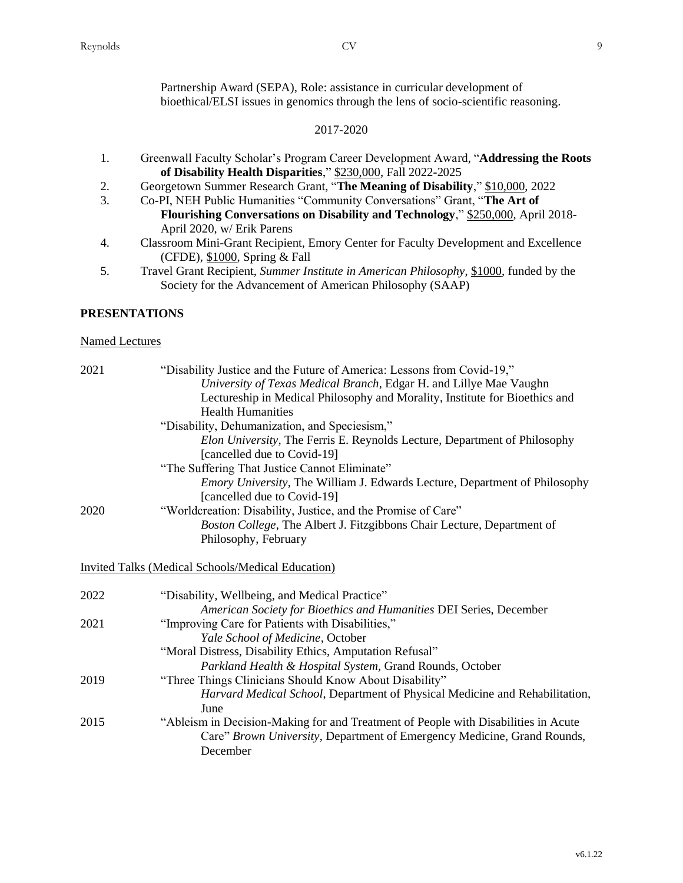Partnership Award (SEPA), Role: assistance in curricular development of bioethical/ELSI issues in genomics through the lens of socio-scientific reasoning.

# 2017-2020

- 1. Greenwall Faculty Scholar's Program Career Development Award, "**Addressing the Roots of Disability Health Disparities**," \$230,000, Fall 2022-2025
- 2. Georgetown Summer Research Grant, "**The Meaning of Disability**," \$10,000, 2022
- 3. Co-PI, NEH Public Humanities "Community Conversations" Grant, "**The Art of Flourishing Conversations on Disability and Technology**," \$250,000, April 2018- April 2020, w/ Erik Parens
- 4. Classroom Mini-Grant Recipient, Emory Center for Faculty Development and Excellence (CFDE), \$1000, Spring & Fall
- 5. Travel Grant Recipient, *Summer Institute in American Philosophy*, \$1000, funded by the Society for the Advancement of American Philosophy (SAAP)

# **PRESENTATIONS**

# Named Lectures

| 2021 | "Disability Justice and the Future of America: Lessons from Covid-19,"<br>University of Texas Medical Branch, Edgar H. and Lillye Mae Vaughn |
|------|----------------------------------------------------------------------------------------------------------------------------------------------|
|      | Lectureship in Medical Philosophy and Morality, Institute for Bioethics and<br><b>Health Humanities</b>                                      |
|      | "Disability, Dehumanization, and Speciesism,"                                                                                                |
|      | Elon University, The Ferris E. Reynolds Lecture, Department of Philosophy                                                                    |
|      | [cancelled due to Covid-19]                                                                                                                  |
|      | "The Suffering That Justice Cannot Eliminate"                                                                                                |
|      | Emory University, The William J. Edwards Lecture, Department of Philosophy<br>[cancelled due to Covid-19]                                    |
| 2020 | "Worldcreation: Disability, Justice, and the Promise of Care"                                                                                |
|      | Boston College, The Albert J. Fitzgibbons Chair Lecture, Department of                                                                       |
|      | Philosophy, February                                                                                                                         |
|      | <b>Invited Talks (Medical Schools/Medical Education)</b>                                                                                     |
| 2022 | "Disability, Wellbeing, and Medical Practice"                                                                                                |
|      | American Society for Bioethics and Humanities DEI Series, December                                                                           |
| 2021 | "Improving Care for Patients with Disabilities,"                                                                                             |
|      | Yale School of Medicine, October                                                                                                             |
|      | "Moral Distress, Disability Ethics, Amputation Refusal"                                                                                      |
|      | Parkland Health & Hospital System, Grand Rounds, October                                                                                     |
| 2019 | "Three Things Clinicians Should Know About Disability"                                                                                       |
|      | Harvard Medical School, Department of Physical Medicine and Rehabilitation,<br>June                                                          |
| 2015 | "Ableism in Decision-Making for and Treatment of People with Disabilities in Acute                                                           |
|      | Care" Brown University, Department of Emergency Medicine, Grand Rounds,<br>December                                                          |
|      |                                                                                                                                              |

v6.1.22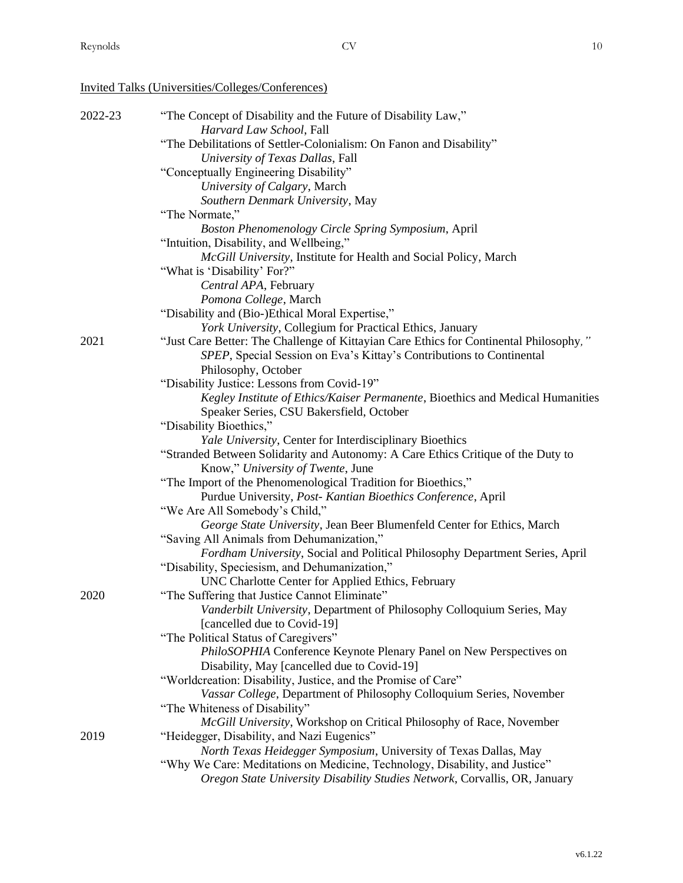# Invited Talks (Universities/Colleges/Conferences)

| 2022-23 | "The Concept of Disability and the Future of Disability Law,"<br>Harvard Law School, Fall |
|---------|-------------------------------------------------------------------------------------------|
|         | "The Debilitations of Settler-Colonialism: On Fanon and Disability"                       |
|         | University of Texas Dallas, Fall                                                          |
|         |                                                                                           |
|         | "Conceptually Engineering Disability"                                                     |
|         | University of Calgary, March                                                              |
|         | Southern Denmark University, May                                                          |
|         | "The Normate,"                                                                            |
|         | Boston Phenomenology Circle Spring Symposium, April                                       |
|         | "Intuition, Disability, and Wellbeing,"                                                   |
|         | McGill University, Institute for Health and Social Policy, March                          |
|         | "What is 'Disability' For?"                                                               |
|         | Central APA, February                                                                     |
|         | Pomona College, March                                                                     |
|         | "Disability and (Bio-)Ethical Moral Expertise,"                                           |
|         | York University, Collegium for Practical Ethics, January                                  |
| 2021    | "Just Care Better: The Challenge of Kittayian Care Ethics for Continental Philosophy,"    |
|         | SPEP, Special Session on Eva's Kittay's Contributions to Continental                      |
|         | Philosophy, October                                                                       |
|         | "Disability Justice: Lessons from Covid-19"                                               |
|         | Kegley Institute of Ethics/Kaiser Permanente, Bioethics and Medical Humanities            |
|         | Speaker Series, CSU Bakersfield, October                                                  |
|         | "Disability Bioethics,"                                                                   |
|         | Yale University, Center for Interdisciplinary Bioethics                                   |
|         | "Stranded Between Solidarity and Autonomy: A Care Ethics Critique of the Duty to          |
|         | Know," University of Twente, June                                                         |
|         | "The Import of the Phenomenological Tradition for Bioethics,"                             |
|         | Purdue University, Post- Kantian Bioethics Conference, April                              |
|         | "We Are All Somebody's Child,"                                                            |
|         | George State University, Jean Beer Blumenfeld Center for Ethics, March                    |
|         | "Saving All Animals from Dehumanization,"                                                 |
|         | Fordham University, Social and Political Philosophy Department Series, April              |
|         | "Disability, Speciesism, and Dehumanization,"                                             |
|         | UNC Charlotte Center for Applied Ethics, February                                         |
| 2020    | "The Suffering that Justice Cannot Eliminate"                                             |
|         | Vanderbilt University, Department of Philosophy Colloquium Series, May                    |
|         | [cancelled due to Covid-19]                                                               |
|         | "The Political Status of Caregivers"                                                      |
|         | PhiloSOPHIA Conference Keynote Plenary Panel on New Perspectives on                       |
|         | Disability, May [cancelled due to Covid-19]                                               |
|         | "Worldcreation: Disability, Justice, and the Promise of Care"                             |
|         |                                                                                           |
|         | Vassar College, Department of Philosophy Colloquium Series, November                      |
|         | "The Whiteness of Disability"                                                             |
|         | McGill University, Workshop on Critical Philosophy of Race, November                      |
| 2019    | "Heidegger, Disability, and Nazi Eugenics"                                                |
|         | North Texas Heidegger Symposium, University of Texas Dallas, May                          |
|         | "Why We Care: Meditations on Medicine, Technology, Disability, and Justice"               |
|         | Oregon State University Disability Studies Network, Corvallis, OR, January                |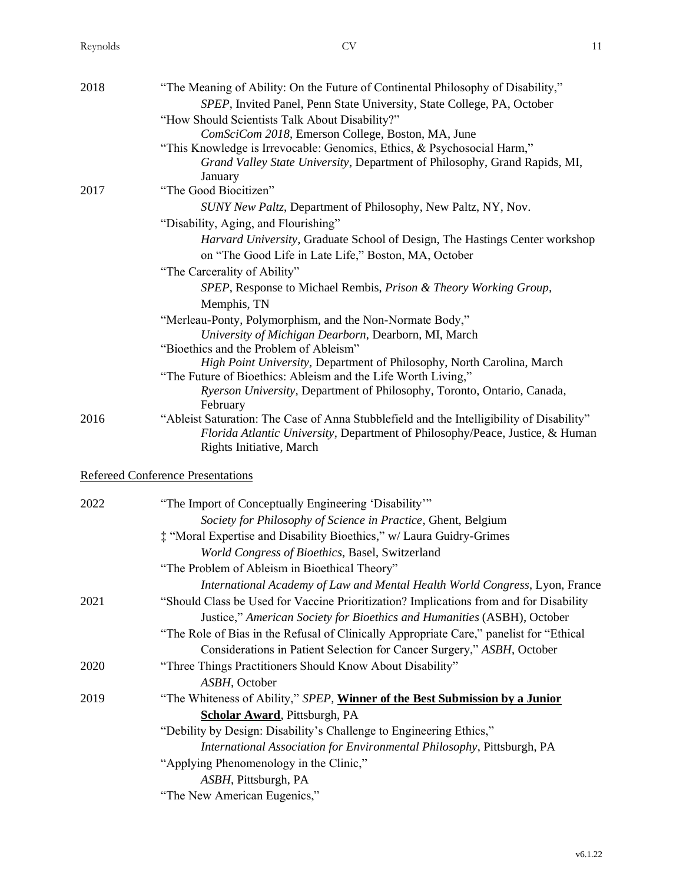| 2018 | "The Meaning of Ability: On the Future of Continental Philosophy of Disability,"                                             |
|------|------------------------------------------------------------------------------------------------------------------------------|
|      | SPEP, Invited Panel, Penn State University, State College, PA, October                                                       |
|      | "How Should Scientists Talk About Disability?"                                                                               |
|      | ComSciCom 2018, Emerson College, Boston, MA, June<br>"This Knowledge is Irrevocable: Genomics, Ethics, & Psychosocial Harm," |
|      | Grand Valley State University, Department of Philosophy, Grand Rapids, MI,                                                   |
|      | January                                                                                                                      |
| 2017 | "The Good Biocitizen"                                                                                                        |
|      | SUNY New Paltz, Department of Philosophy, New Paltz, NY, Nov.                                                                |
|      | "Disability, Aging, and Flourishing"                                                                                         |
|      | Harvard University, Graduate School of Design, The Hastings Center workshop                                                  |
|      | on "The Good Life in Late Life," Boston, MA, October                                                                         |
|      | "The Carcerality of Ability"                                                                                                 |
|      | SPEP, Response to Michael Rembis, Prison & Theory Working Group,                                                             |
|      | Memphis, TN                                                                                                                  |
|      | "Merleau-Ponty, Polymorphism, and the Non-Normate Body,"                                                                     |
|      | University of Michigan Dearborn, Dearborn, MI, March                                                                         |
|      | "Bioethics and the Problem of Ableism"                                                                                       |
|      | High Point University, Department of Philosophy, North Carolina, March                                                       |
|      | "The Future of Bioethics: Ableism and the Life Worth Living,"                                                                |
|      | Ryerson University, Department of Philosophy, Toronto, Ontario, Canada,                                                      |
| 2016 | February<br>"Ableist Saturation: The Case of Anna Stubblefield and the Intelligibility of Disability"                        |
|      | Florida Atlantic University, Department of Philosophy/Peace, Justice, & Human<br>Rights Initiative, March                    |
|      | <b>Refereed Conference Presentations</b>                                                                                     |
| 2022 | "The Import of Conceptually Engineering 'Disability'"                                                                        |
|      | Society for Philosophy of Science in Practice, Ghent, Belgium                                                                |
|      | # "Moral Expertise and Disability Bioethics," w/ Laura Guidry-Grimes                                                         |
|      | World Congress of Bioethics, Basel, Switzerland                                                                              |
|      | "The Problem of Ableism in Bioethical Theory"                                                                                |
|      | International Academy of Law and Mental Health World Congress, Lyon, France                                                  |
| 2021 | "Should Class be Used for Vaccine Prioritization? Implications from and for Disability                                       |
|      | Justice," American Society for Bioethics and Humanities (ASBH), October                                                      |
|      | "The Role of Bias in the Refusal of Clinically Appropriate Care," panelist for "Ethical                                      |
|      | Considerations in Patient Selection for Cancer Surgery," ASBH, October                                                       |
| 2020 | "Three Things Practitioners Should Know About Disability"                                                                    |
|      | ASBH, October                                                                                                                |
| 2019 | "The Whiteness of Ability," SPEP, Winner of the Best Submission by a Junior                                                  |
|      | <b>Scholar Award</b> , Pittsburgh, PA                                                                                        |
|      | "Debility by Design: Disability's Challenge to Engineering Ethics,"                                                          |
|      | International Association for Environmental Philosophy, Pittsburgh, PA                                                       |
|      | "Applying Phenomenology in the Clinic,"                                                                                      |
|      | ASBH, Pittsburgh, PA                                                                                                         |
|      | "The New American Eugenics,"                                                                                                 |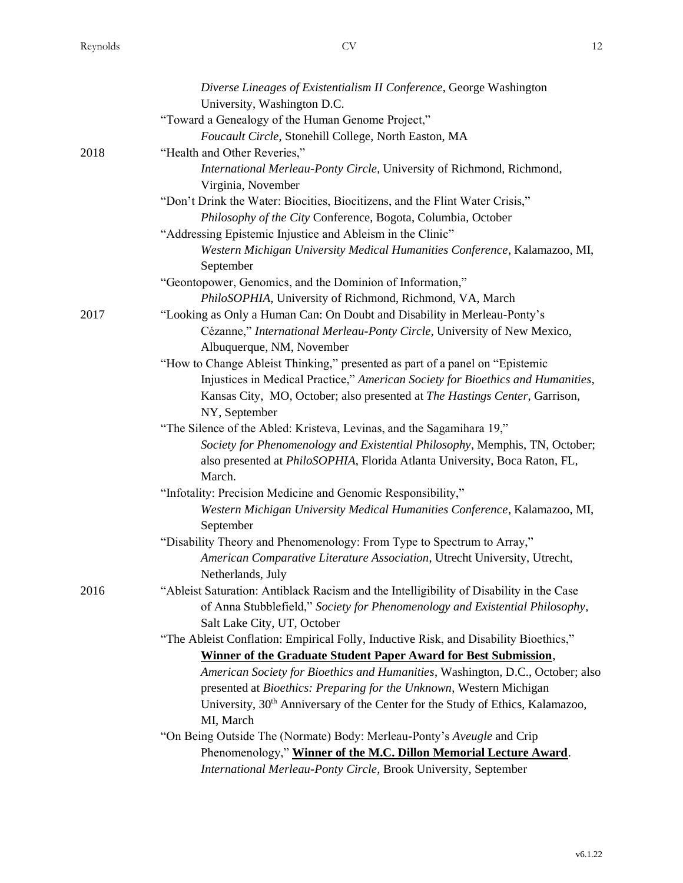|      | Diverse Lineages of Existentialism II Conference, George Washington                                  |
|------|------------------------------------------------------------------------------------------------------|
|      | University, Washington D.C.                                                                          |
|      | "Toward a Genealogy of the Human Genome Project,"                                                    |
|      | Foucault Circle, Stonehill College, North Easton, MA                                                 |
| 2018 | "Health and Other Reveries,"                                                                         |
|      | International Merleau-Ponty Circle, University of Richmond, Richmond,                                |
|      | Virginia, November                                                                                   |
|      | "Don't Drink the Water: Biocities, Biocitizens, and the Flint Water Crisis,"                         |
|      | Philosophy of the City Conference, Bogota, Columbia, October                                         |
|      | "Addressing Epistemic Injustice and Ableism in the Clinic"                                           |
|      | Western Michigan University Medical Humanities Conference, Kalamazoo, MI,<br>September               |
|      | "Geontopower, Genomics, and the Dominion of Information,"                                            |
|      | PhiloSOPHIA, University of Richmond, Richmond, VA, March                                             |
| 2017 | "Looking as Only a Human Can: On Doubt and Disability in Merleau-Ponty's                             |
|      | Cézanne," International Merleau-Ponty Circle, University of New Mexico,<br>Albuquerque, NM, November |
|      | "How to Change Ableist Thinking," presented as part of a panel on "Epistemic                         |
|      | Injustices in Medical Practice," American Society for Bioethics and Humanities,                      |
|      | Kansas City, MO, October; also presented at The Hastings Center, Garrison,<br>NY, September          |
|      | "The Silence of the Abled: Kristeva, Levinas, and the Sagamihara 19,"                                |
|      | Society for Phenomenology and Existential Philosophy, Memphis, TN, October;                          |
|      | also presented at PhiloSOPHIA, Florida Atlanta University, Boca Raton, FL,<br>March.                 |
|      | "Infotality: Precision Medicine and Genomic Responsibility,"                                         |
|      | Western Michigan University Medical Humanities Conference, Kalamazoo, MI,<br>September               |
|      | "Disability Theory and Phenomenology: From Type to Spectrum to Array,"                               |
|      | American Comparative Literature Association, Utrecht University, Utrecht,                            |
|      | Netherlands, July                                                                                    |
| 2016 | "Ableist Saturation: Antiblack Racism and the Intelligibility of Disability in the Case              |
|      | of Anna Stubblefield," Society for Phenomenology and Existential Philosophy,                         |
|      | Salt Lake City, UT, October                                                                          |
|      | "The Ableist Conflation: Empirical Folly, Inductive Risk, and Disability Bioethics,"                 |
|      | Winner of the Graduate Student Paper Award for Best Submission,                                      |
|      | American Society for Bioethics and Humanities, Washington, D.C., October; also                       |
|      | presented at Bioethics: Preparing for the Unknown, Western Michigan                                  |
|      | University, 30 <sup>th</sup> Anniversary of the Center for the Study of Ethics, Kalamazoo,           |
|      | MI, March                                                                                            |
|      | "On Being Outside The (Normate) Body: Merleau-Ponty's Aveugle and Crip                               |
|      | Phenomenology," Winner of the M.C. Dillon Memorial Lecture Award.                                    |
|      | International Merleau-Ponty Circle, Brook University, September                                      |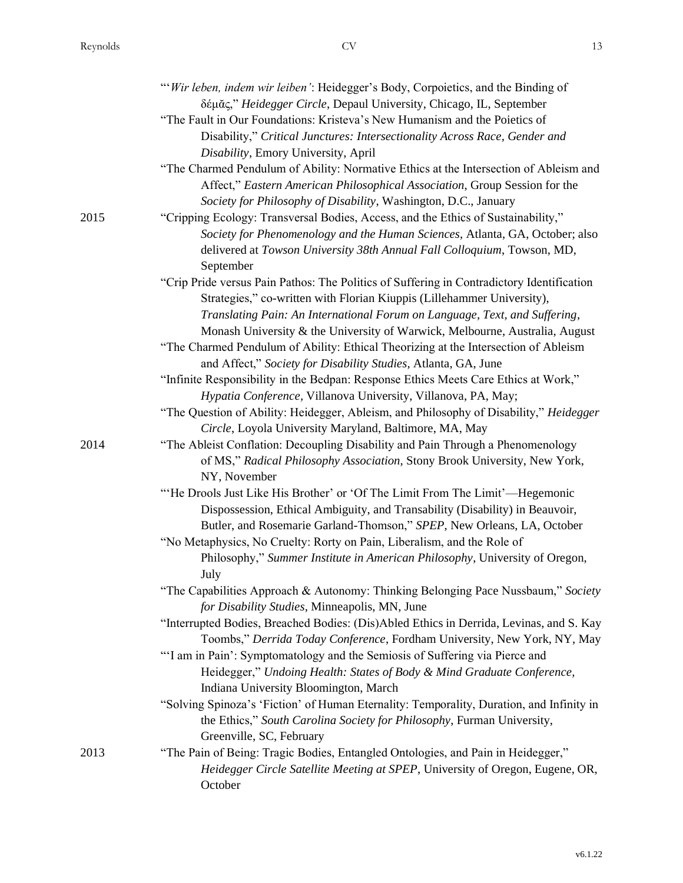| I |               |
|---|---------------|
|   | ×.            |
|   | ۰.<br>×<br>۰, |

|      | "'Wir leben, indem wir leiben': Heidegger's Body, Corpoietics, and the Binding of<br>δέμας," Heidegger Circle, Depaul University, Chicago, IL, September                     |
|------|------------------------------------------------------------------------------------------------------------------------------------------------------------------------------|
|      | "The Fault in Our Foundations: Kristeva's New Humanism and the Poietics of                                                                                                   |
|      | Disability," Critical Junctures: Intersectionality Across Race, Gender and                                                                                                   |
|      | Disability, Emory University, April                                                                                                                                          |
|      | "The Charmed Pendulum of Ability: Normative Ethics at the Intersection of Ableism and<br>Affect," Eastern American Philosophical Association, Group Session for the          |
|      | Society for Philosophy of Disability, Washington, D.C., January                                                                                                              |
| 2015 | "Cripping Ecology: Transversal Bodies, Access, and the Ethics of Sustainability,"                                                                                            |
|      | Society for Phenomenology and the Human Sciences, Atlanta, GA, October; also                                                                                                 |
|      | delivered at Towson University 38th Annual Fall Colloquium, Towson, MD,<br>September                                                                                         |
|      | "Crip Pride versus Pain Pathos: The Politics of Suffering in Contradictory Identification                                                                                    |
|      | Strategies," co-written with Florian Kiuppis (Lillehammer University),                                                                                                       |
|      | Translating Pain: An International Forum on Language, Text, and Suffering,                                                                                                   |
|      | Monash University & the University of Warwick, Melbourne, Australia, August                                                                                                  |
|      | "The Charmed Pendulum of Ability: Ethical Theorizing at the Intersection of Ableism                                                                                          |
|      | and Affect," Society for Disability Studies, Atlanta, GA, June                                                                                                               |
|      | "Infinite Responsibility in the Bedpan: Response Ethics Meets Care Ethics at Work,"<br>Hypatia Conference, Villanova University, Villanova, PA, May;                         |
|      | "The Question of Ability: Heidegger, Ableism, and Philosophy of Disability," Heidegger                                                                                       |
|      | Circle, Loyola University Maryland, Baltimore, MA, May                                                                                                                       |
| 2014 | "The Ableist Conflation: Decoupling Disability and Pain Through a Phenomenology<br>of MS," Radical Philosophy Association, Stony Brook University, New York,<br>NY, November |
|      | "He Drools Just Like His Brother' or 'Of The Limit From The Limit'—Hegemonic                                                                                                 |
|      | Dispossession, Ethical Ambiguity, and Transability (Disability) in Beauvoir,                                                                                                 |
|      | Butler, and Rosemarie Garland-Thomson," SPEP, New Orleans, LA, October                                                                                                       |
|      | "No Metaphysics, No Cruelty: Rorty on Pain, Liberalism, and the Role of                                                                                                      |
|      | Philosophy," Summer Institute in American Philosophy, University of Oregon,<br>July                                                                                          |
|      | "The Capabilities Approach & Autonomy: Thinking Belonging Pace Nussbaum," Society<br>for Disability Studies, Minneapolis, MN, June                                           |
|      | "Interrupted Bodies, Breached Bodies: (Dis)Abled Ethics in Derrida, Levinas, and S. Kay<br>Toombs," Derrida Today Conference, Fordham University, New York, NY, May          |
|      | "'I am in Pain': Symptomatology and the Semiosis of Suffering via Pierce and<br>Heidegger," Undoing Health: States of Body & Mind Graduate Conference,                       |
|      | Indiana University Bloomington, March                                                                                                                                        |
|      | "Solving Spinoza's 'Fiction' of Human Eternality: Temporality, Duration, and Infinity in<br>the Ethics," South Carolina Society for Philosophy, Furman University,           |
|      | Greenville, SC, February                                                                                                                                                     |
| 2013 | "The Pain of Being: Tragic Bodies, Entangled Ontologies, and Pain in Heidegger,"<br>Heidegger Circle Satellite Meeting at SPEP, University of Oregon, Eugene, OR,            |
|      | October                                                                                                                                                                      |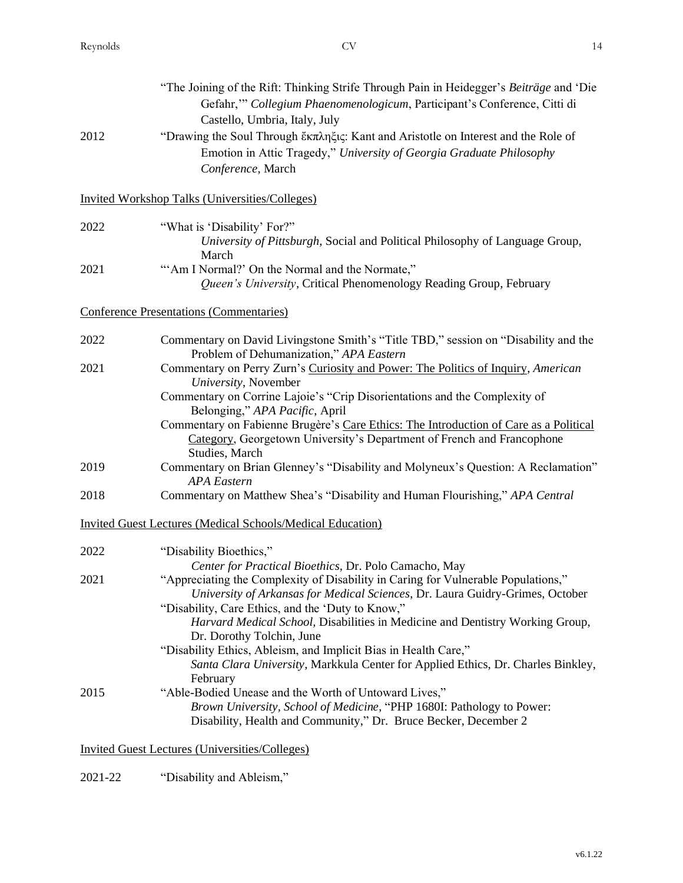| 2012 | "The Joining of the Rift: Thinking Strife Through Pain in Heidegger's Beiträge and 'Die<br>Gefahr," Collegium Phaenomenologicum, Participant's Conference, Citti di<br>Castello, Umbria, Italy, July<br>"Drawing the Soul Through ἔκπληξις: Kant and Aristotle on Interest and the Role of<br>Emotion in Attic Tragedy," University of Georgia Graduate Philosophy<br>Conference, March        |
|------|------------------------------------------------------------------------------------------------------------------------------------------------------------------------------------------------------------------------------------------------------------------------------------------------------------------------------------------------------------------------------------------------|
|      | <b>Invited Workshop Talks (Universities/Colleges)</b>                                                                                                                                                                                                                                                                                                                                          |
| 2022 | "What is 'Disability' For?"<br>University of Pittsburgh, Social and Political Philosophy of Language Group,<br>March                                                                                                                                                                                                                                                                           |
| 2021 | "'Am I Normal?' On the Normal and the Normate,"<br>Queen's University, Critical Phenomenology Reading Group, February                                                                                                                                                                                                                                                                          |
|      | <b>Conference Presentations (Commentaries)</b>                                                                                                                                                                                                                                                                                                                                                 |
| 2022 | Commentary on David Livingstone Smith's "Title TBD," session on "Disability and the<br>Problem of Dehumanization," APA Eastern                                                                                                                                                                                                                                                                 |
| 2021 | Commentary on Perry Zurn's Curiosity and Power: The Politics of Inquiry, American<br>University, November                                                                                                                                                                                                                                                                                      |
|      | Commentary on Corrine Lajoie's "Crip Disorientations and the Complexity of                                                                                                                                                                                                                                                                                                                     |
|      | Belonging," APA Pacific, April<br>Commentary on Fabienne Brugère's Care Ethics: The Introduction of Care as a Political<br>Category, Georgetown University's Department of French and Francophone<br>Studies, March                                                                                                                                                                            |
| 2019 | Commentary on Brian Glenney's "Disability and Molyneux's Question: A Reclamation"<br><b>APA</b> Eastern                                                                                                                                                                                                                                                                                        |
| 2018 | Commentary on Matthew Shea's "Disability and Human Flourishing," APA Central                                                                                                                                                                                                                                                                                                                   |
|      | <b>Invited Guest Lectures (Medical Schools/Medical Education)</b>                                                                                                                                                                                                                                                                                                                              |
| 2022 | "Disability Bioethics,"                                                                                                                                                                                                                                                                                                                                                                        |
| 2021 | Center for Practical Bioethics, Dr. Polo Camacho, May<br>"Appreciating the Complexity of Disability in Caring for Vulnerable Populations,"<br>University of Arkansas for Medical Sciences, Dr. Laura Guidry-Grimes, October<br>"Disability, Care Ethics, and the 'Duty to Know,"<br>Harvard Medical School, Disabilities in Medicine and Dentistry Working Group,<br>Dr. Dorothy Tolchin, June |
|      | "Disability Ethics, Ableism, and Implicit Bias in Health Care,"<br>Santa Clara University, Markkula Center for Applied Ethics, Dr. Charles Binkley,                                                                                                                                                                                                                                            |
| 2015 | February<br>"Able-Bodied Unease and the Worth of Untoward Lives,"<br>Brown University, School of Medicine, "PHP 1680I: Pathology to Power:<br>Disability, Health and Community," Dr. Bruce Becker, December 2                                                                                                                                                                                  |

Invited Guest Lectures (Universities/Colleges)

2021-22 "Disability and Ableism,"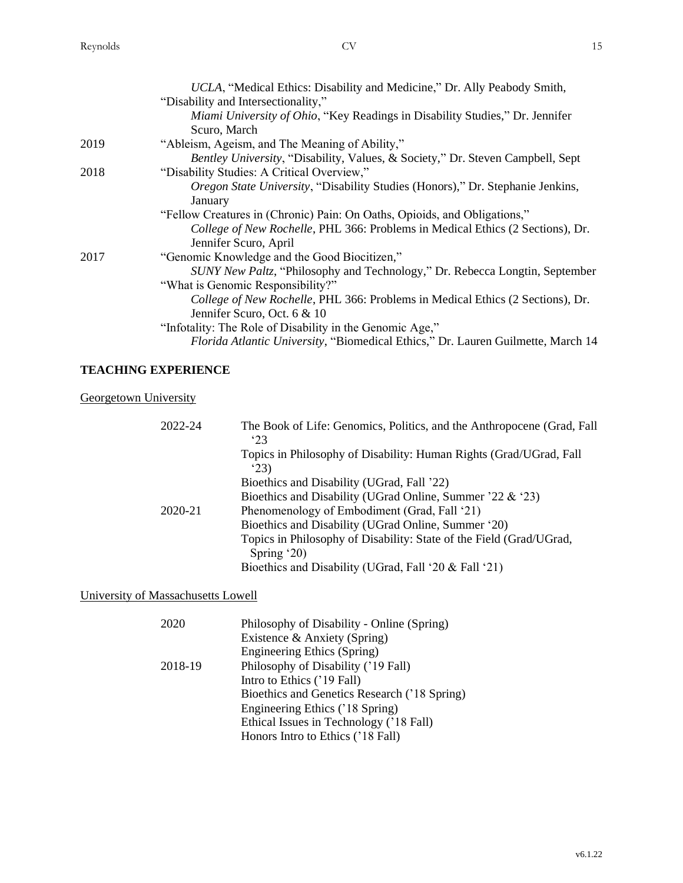|      | UCLA, "Medical Ethics: Disability and Medicine," Dr. Ally Peabody Smith,                  |
|------|-------------------------------------------------------------------------------------------|
|      | "Disability and Intersectionality,"                                                       |
|      | Miami University of Ohio, "Key Readings in Disability Studies," Dr. Jennifer              |
|      | Scuro, March                                                                              |
| 2019 | "Ableism, Ageism, and The Meaning of Ability,"                                            |
|      | <i>Bentley University, "Disability, Values, &amp; Society," Dr. Steven Campbell, Sept</i> |
| 2018 | "Disability Studies: A Critical Overview,"                                                |
|      | Oregon State University, "Disability Studies (Honors)," Dr. Stephanie Jenkins,            |
|      | January                                                                                   |
|      | "Fellow Creatures in (Chronic) Pain: On Oaths, Opioids, and Obligations,"                 |
|      | College of New Rochelle, PHL 366: Problems in Medical Ethics (2 Sections), Dr.            |
|      | Jennifer Scuro, April                                                                     |
| 2017 | "Genomic Knowledge and the Good Biocitizen,"                                              |
|      | SUNY New Paltz, "Philosophy and Technology," Dr. Rebecca Longtin, September               |
|      | "What is Genomic Responsibility?"                                                         |
|      | College of New Rochelle, PHL 366: Problems in Medical Ethics (2 Sections), Dr.            |
|      | Jennifer Scuro, Oct. 6 & 10                                                               |
|      | "Infotality: The Role of Disability in the Genomic Age,"                                  |
|      | Florida Atlantic University, "Biomedical Ethics," Dr. Lauren Guilmette, March 14          |
|      |                                                                                           |

# **TEACHING EXPERIENCE**

**Georgetown University** 

| 2022-24 | The Book of Life: Genomics, Politics, and the Anthropocene (Grad, Fall<br>323 |
|---------|-------------------------------------------------------------------------------|
|         | Topics in Philosophy of Disability: Human Rights (Grad/UGrad, Fall)<br>23)    |
|         | Bioethics and Disability (UGrad, Fall '22)                                    |
|         | Bioethics and Disability (UGrad Online, Summer '22 & '23)                     |
| 2020-21 | Phenomenology of Embodiment (Grad, Fall '21)                                  |
|         | Bioethics and Disability (UGrad Online, Summer '20)                           |
|         | Topics in Philosophy of Disability: State of the Field (Grad/UGrad,           |
|         | Spring $20$ )                                                                 |
|         | Bioethics and Disability (UGrad, Fall '20 & Fall '21)                         |

# University of Massachusetts Lowell

| Bioethics and Genetics Research ('18 Spring) |
|----------------------------------------------|
|                                              |
|                                              |
|                                              |
|                                              |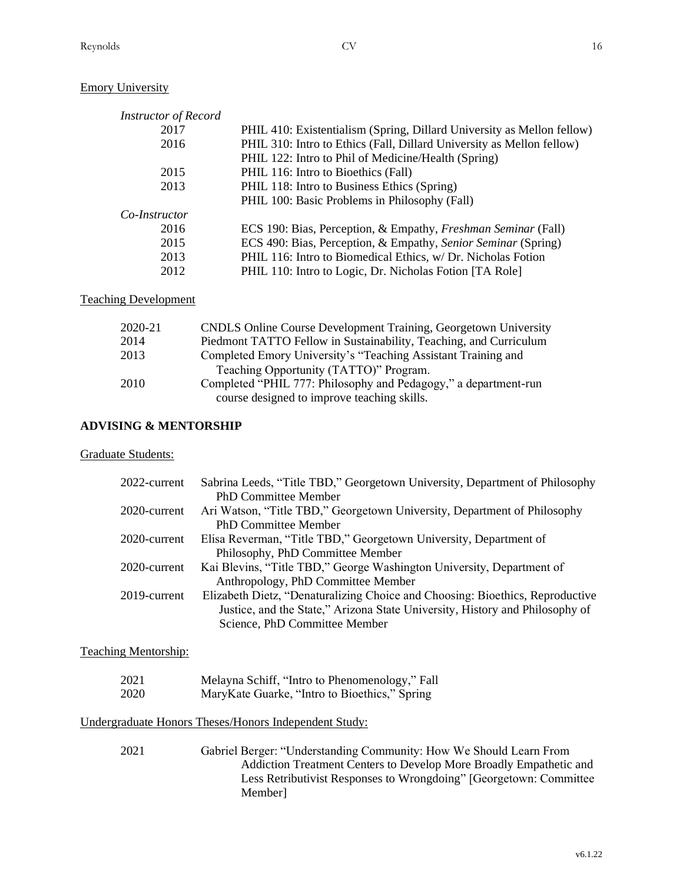# Emory University

| <b>Instructor of Record</b> |                                                                        |
|-----------------------------|------------------------------------------------------------------------|
| 2017                        | PHIL 410: Existentialism (Spring, Dillard University as Mellon fellow) |
| 2016                        | PHIL 310: Intro to Ethics (Fall, Dillard University as Mellon fellow)  |
|                             | PHIL 122: Intro to Phil of Medicine/Health (Spring)                    |
| 2015                        | PHIL 116: Intro to Bioethics (Fall)                                    |
| 2013                        | PHIL 118: Intro to Business Ethics (Spring)                            |
|                             | PHIL 100: Basic Problems in Philosophy (Fall)                          |
| Co-Instructor               |                                                                        |
| 2016                        | ECS 190: Bias, Perception, & Empathy, Freshman Seminar (Fall)          |
| 2015                        | ECS 490: Bias, Perception, & Empathy, Senior Seminar (Spring)          |
| 2013                        | PHIL 116: Intro to Biomedical Ethics, w/ Dr. Nicholas Fotion           |
| 2012                        | PHIL 110: Intro to Logic, Dr. Nicholas Fotion [TA Role]                |

## Teaching Development

| 2020-21 | <b>CNDLS</b> Online Course Development Training, Georgetown University |
|---------|------------------------------------------------------------------------|
| 2014    | Piedmont TATTO Fellow in Sustainability, Teaching, and Curriculum      |
| 2013    | Completed Emory University's "Teaching Assistant Training and          |
|         | Teaching Opportunity (TATTO)" Program.                                 |
| 2010    | Completed "PHIL 777: Philosophy and Pedagogy," a department-run        |
|         | course designed to improve teaching skills.                            |

# **ADVISING & MENTORSHIP**

#### Graduate Students:

| 2022-current | Sabrina Leeds, "Title TBD," Georgetown University, Department of Philosophy   |
|--------------|-------------------------------------------------------------------------------|
|              | <b>PhD Committee Member</b>                                                   |
| 2020-current | Ari Watson, "Title TBD," Georgetown University, Department of Philosophy      |
|              | <b>PhD Committee Member</b>                                                   |
| 2020-current | Elisa Reverman, "Title TBD," Georgetown University, Department of             |
|              | Philosophy, PhD Committee Member                                              |
| 2020-current | Kai Blevins, "Title TBD," George Washington University, Department of         |
|              | Anthropology, PhD Committee Member                                            |
| 2019-current | Elizabeth Dietz, "Denaturalizing Choice and Choosing: Bioethics, Reproductive |
|              | Justice, and the State," Arizona State University, History and Philosophy of  |
|              | Science, PhD Committee Member                                                 |

# Teaching Mentorship:

| 2021 | Melayna Schiff, "Intro to Phenomenology," Fall |
|------|------------------------------------------------|
| 2020 | MaryKate Guarke, "Intro to Bioethics," Spring  |

# Undergraduate Honors Theses/Honors Independent Study:

2021 Gabriel Berger: "Understanding Community: How We Should Learn From Addiction Treatment Centers to Develop More Broadly Empathetic and Less Retributivist Responses to Wrongdoing" [Georgetown: Committee Member]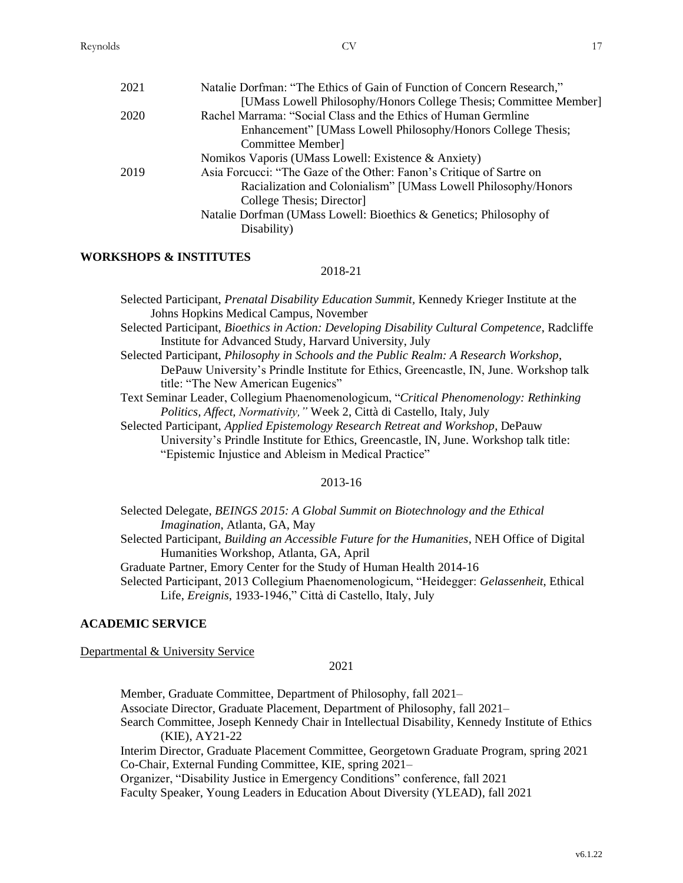| 2021 | Natalie Dorfman: "The Ethics of Gain of Function of Concern Research," |
|------|------------------------------------------------------------------------|
|      | [UMass Lowell Philosophy/Honors College Thesis; Committee Member]      |
| 2020 | Rachel Marrama: "Social Class and the Ethics of Human Germline         |
|      | Enhancement" [UMass Lowell Philosophy/Honors College Thesis;           |
|      | Committee Member]                                                      |
|      | Nomikos Vaporis (UMass Lowell: Existence & Anxiety)                    |
| 2019 | Asia Forcucci: "The Gaze of the Other: Fanon's Critique of Sartre on   |
|      | Racialization and Colonialism" [UMass Lowell Philosophy/Honors         |
|      | College Thesis; Director                                               |
|      | Natalie Dorfman (UMass Lowell: Bioethics & Genetics; Philosophy of     |
|      | Disability)                                                            |

# **WORKSHOPS & INSTITUTES**

#### 2018-21

Selected Participant, *Prenatal Disability Education Summit,* Kennedy Krieger Institute at the Johns Hopkins Medical Campus, November

- Selected Participant, *Bioethics in Action: Developing Disability Cultural Competence*, Radcliffe Institute for Advanced Study, Harvard University, July
- Selected Participant, *Philosophy in Schools and the Public Realm: A Research Workshop*, DePauw University's Prindle Institute for Ethics, Greencastle, IN, June. Workshop talk title: "The New American Eugenics"
- Text Seminar Leader, Collegium Phaenomenologicum, "*Critical Phenomenology: Rethinking Politics, Affect, Normativity,"* Week 2, Città di Castello, Italy, July
- Selected Participant, *Applied Epistemology Research Retreat and Workshop*, DePauw University's Prindle Institute for Ethics, Greencastle, IN, June. Workshop talk title: "Epistemic Injustice and Ableism in Medical Practice"

#### 2013-16

Selected Delegate, *BEINGS 2015: A Global Summit on Biotechnology and the Ethical Imagination*, Atlanta, GA, May Selected Participant, *Building an Accessible Future for the Humanities*, NEH Office of Digital Humanities Workshop, Atlanta, GA, April Graduate Partner, Emory Center for the Study of Human Health 2014-16 Selected Participant, 2013 Collegium Phaenomenologicum, "Heidegger: *Gelassenheit*, Ethical Life, *Ereignis*, 1933-1946," Città di Castello, Italy, July

### **ACADEMIC SERVICE**

Departmental & University Service

#### 2021

Member, Graduate Committee, Department of Philosophy, fall 2021– Associate Director, Graduate Placement, Department of Philosophy, fall 2021– Search Committee, Joseph Kennedy Chair in Intellectual Disability, Kennedy Institute of Ethics (KIE), AY21-22 Interim Director, Graduate Placement Committee, Georgetown Graduate Program, spring 2021 Co-Chair, External Funding Committee, KIE, spring 2021– Organizer, "Disability Justice in Emergency Conditions" conference, fall 2021 Faculty Speaker, Young Leaders in Education About Diversity (YLEAD), fall 2021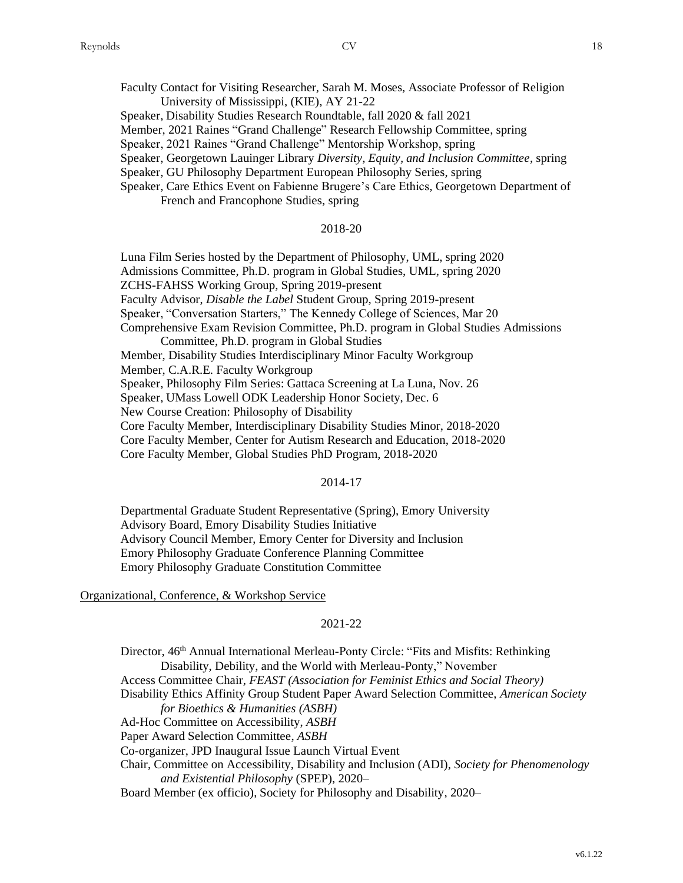Faculty Contact for Visiting Researcher, Sarah M. Moses, Associate Professor of Religion University of Mississippi, (KIE), AY 21-22

Speaker, Disability Studies Research Roundtable, fall 2020 & fall 2021

Member, 2021 Raines "Grand Challenge" Research Fellowship Committee, spring

Speaker, 2021 Raines "Grand Challenge" Mentorship Workshop, spring

Speaker, Georgetown Lauinger Library *Diversity, Equity, and Inclusion Committee*, spring

Speaker, GU Philosophy Department European Philosophy Series, spring

Speaker, Care Ethics Event on Fabienne Brugere's Care Ethics, Georgetown Department of French and Francophone Studies, spring

# 2018-20

Luna Film Series hosted by the Department of Philosophy, UML, spring 2020 Admissions Committee, Ph.D. program in Global Studies, UML, spring 2020 ZCHS-FAHSS Working Group, Spring 2019-present Faculty Advisor, *Disable the Label* Student Group, Spring 2019-present Speaker, "Conversation Starters," The Kennedy College of Sciences, Mar 20 Comprehensive Exam Revision Committee, Ph.D. program in Global Studies Admissions Committee, Ph.D. program in Global Studies Member, Disability Studies Interdisciplinary Minor Faculty Workgroup Member, C.A.R.E. Faculty Workgroup Speaker, Philosophy Film Series: Gattaca Screening at La Luna, Nov. 26 Speaker, UMass Lowell ODK Leadership Honor Society, Dec. 6 New Course Creation: Philosophy of Disability Core Faculty Member, Interdisciplinary Disability Studies Minor, 2018-2020 Core Faculty Member, Center for Autism Research and Education, 2018-2020 Core Faculty Member, Global Studies PhD Program, 2018-2020

#### 2014-17

Departmental Graduate Student Representative (Spring), Emory University Advisory Board, Emory Disability Studies Initiative Advisory Council Member, Emory Center for Diversity and Inclusion Emory Philosophy Graduate Conference Planning Committee Emory Philosophy Graduate Constitution Committee

#### Organizational, Conference, & Workshop Service

#### 2021-22

Director, 46<sup>th</sup> Annual International Merleau-Ponty Circle: "Fits and Misfits: Rethinking Disability, Debility, and the World with Merleau-Ponty," November Access Committee Chair, *FEAST (Association for Feminist Ethics and Social Theory)* Disability Ethics Affinity Group Student Paper Award Selection Committee, *American Society for Bioethics & Humanities (ASBH)* Ad-Hoc Committee on Accessibility, *ASBH* Paper Award Selection Committee, *ASBH* Co-organizer, JPD Inaugural Issue Launch Virtual Event Chair, Committee on Accessibility, Disability and Inclusion (ADI), *Society for Phenomenology and Existential Philosophy* (SPEP), 2020– Board Member (ex officio), Society for Philosophy and Disability, 2020–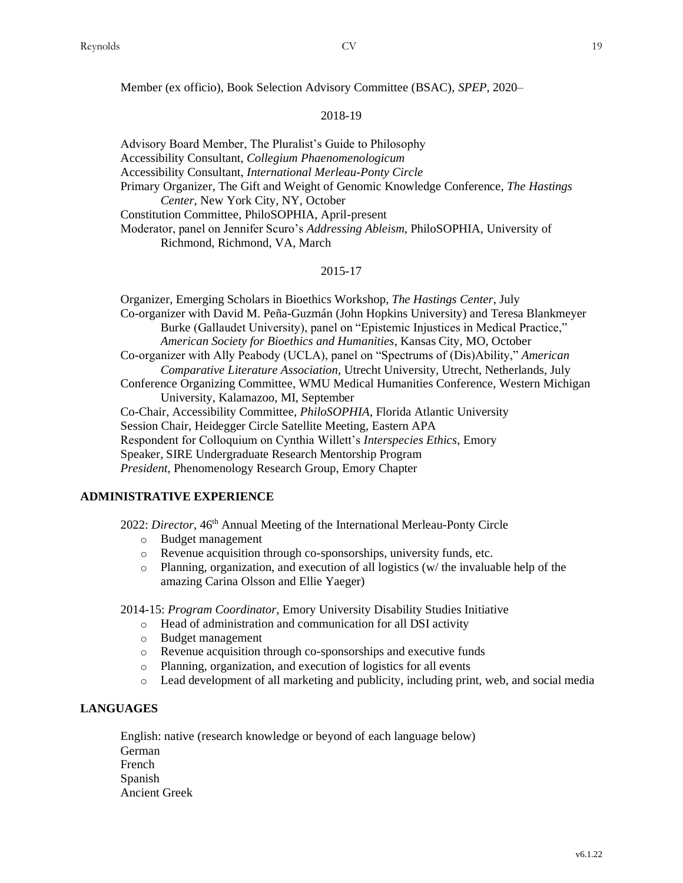Member (ex officio), Book Selection Advisory Committee (BSAC), *SPEP*, 2020–

#### 2018-19

Advisory Board Member, The Pluralist's Guide to Philosophy Accessibility Consultant, *Collegium Phaenomenologicum* Accessibility Consultant, *International Merleau-Ponty Circle* Primary Organizer, The Gift and Weight of Genomic Knowledge Conference, *The Hastings Center*, New York City, NY, October Constitution Committee, PhiloSOPHIA, April-present Moderator, panel on Jennifer Scuro's *Addressing Ableism*, PhiloSOPHIA, University of Richmond, Richmond, VA, March

#### 2015-17

Organizer, Emerging Scholars in Bioethics Workshop, *The Hastings Center*, July Co-organizer with David M. Peña-Guzmán (John Hopkins University) and Teresa Blankmeyer Burke (Gallaudet University), panel on "Epistemic Injustices in Medical Practice," *American Society for Bioethics and Humanities*, Kansas City, MO, October Co-organizer with Ally Peabody (UCLA), panel on "Spectrums of (Dis)Ability," *American Comparative Literature Association*, Utrecht University, Utrecht, Netherlands, July Conference Organizing Committee, WMU Medical Humanities Conference, Western Michigan University, Kalamazoo, MI, September Co-Chair, Accessibility Committee, *PhiloSOPHIA*, Florida Atlantic University Session Chair, Heidegger Circle Satellite Meeting, Eastern APA Respondent for Colloquium on Cynthia Willett's *Interspecies Ethics*, Emory Speaker, SIRE Undergraduate Research Mentorship Program *President*, Phenomenology Research Group, Emory Chapter

# **ADMINISTRATIVE EXPERIENCE**

2022: *Director*, 46<sup>th</sup> Annual Meeting of the International Merleau-Ponty Circle

- o Budget management
- o Revenue acquisition through co-sponsorships, university funds, etc.
- $\circ$  Planning, organization, and execution of all logistics (w/ the invaluable help of the amazing Carina Olsson and Ellie Yaeger)

2014-15: *Program Coordinator*, Emory University Disability Studies Initiative

- o Head of administration and communication for all DSI activity
- o Budget management
- o Revenue acquisition through co-sponsorships and executive funds
- o Planning, organization, and execution of logistics for all events
- o Lead development of all marketing and publicity, including print, web, and social media

# **LANGUAGES**

English: native (research knowledge or beyond of each language below) German French Spanish Ancient Greek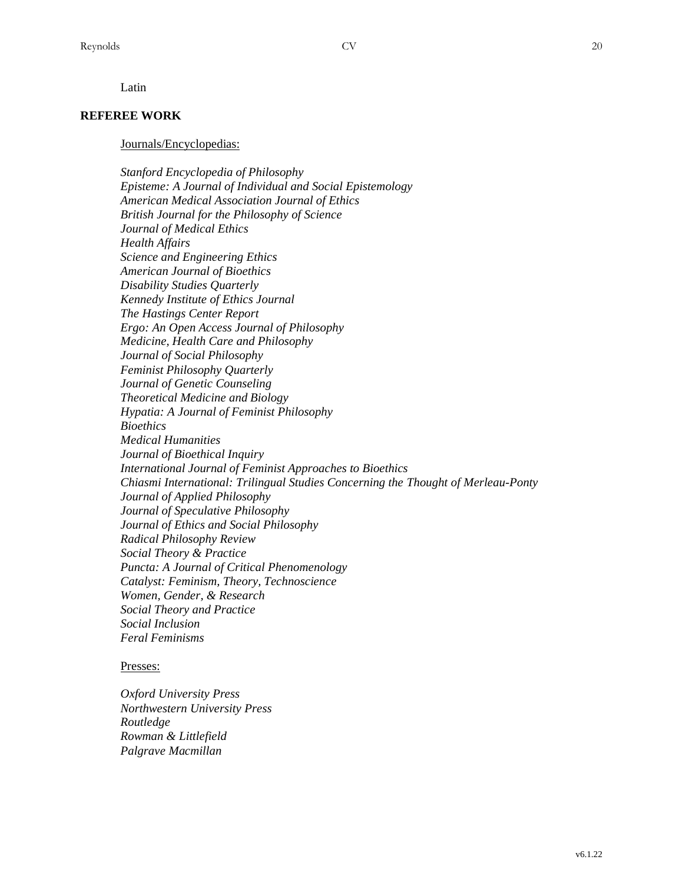Latin

#### **REFEREE WORK**

#### Journals/Encyclopedias:

*Stanford Encyclopedia of Philosophy Episteme: A Journal of Individual and Social Epistemology American Medical Association Journal of Ethics British Journal for the Philosophy of Science Journal of Medical Ethics Health Affairs Science and Engineering Ethics American Journal of Bioethics Disability Studies Quarterly Kennedy Institute of Ethics Journal The Hastings Center Report Ergo: An Open Access Journal of Philosophy Medicine, Health Care and Philosophy Journal of Social Philosophy Feminist Philosophy Quarterly Journal of Genetic Counseling Theoretical Medicine and Biology Hypatia: A Journal of Feminist Philosophy Bioethics Medical Humanities Journal of Bioethical Inquiry International Journal of Feminist Approaches to Bioethics Chiasmi International: Trilingual Studies Concerning the Thought of Merleau-Ponty Journal of Applied Philosophy Journal of Speculative Philosophy Journal of Ethics and Social Philosophy Radical Philosophy Review Social Theory & Practice Puncta: A Journal of Critical Phenomenology Catalyst: Feminism, Theory, Technoscience Women, Gender, & Research Social Theory and Practice Social Inclusion Feral Feminisms* 

#### Presses:

*Oxford University Press Northwestern University Press Routledge Rowman & Littlefield Palgrave Macmillan*